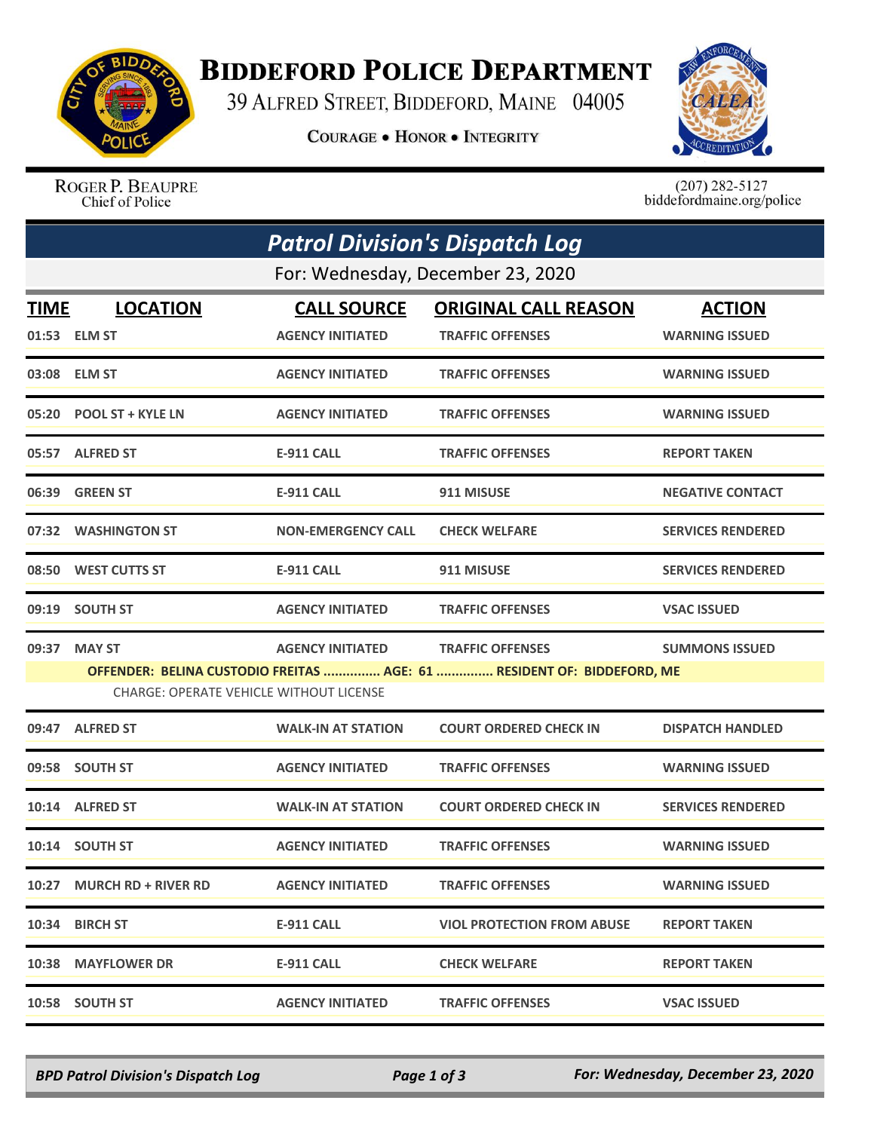

## **BIDDEFORD POLICE DEPARTMENT**

39 ALFRED STREET, BIDDEFORD, MAINE 04005

**COURAGE . HONOR . INTEGRITY** 



ROGER P. BEAUPRE Chief of Police

 $(207)$  282-5127<br>biddefordmaine.org/police

| <b>Patrol Division's Dispatch Log</b>                                                                                    |                            |                           |                                   |                          |  |  |  |
|--------------------------------------------------------------------------------------------------------------------------|----------------------------|---------------------------|-----------------------------------|--------------------------|--|--|--|
| For: Wednesday, December 23, 2020                                                                                        |                            |                           |                                   |                          |  |  |  |
| <b>TIME</b>                                                                                                              | <b>LOCATION</b>            | <b>CALL SOURCE</b>        | <b>ORIGINAL CALL REASON</b>       | <b>ACTION</b>            |  |  |  |
|                                                                                                                          | 01:53 ELM ST               | <b>AGENCY INITIATED</b>   | <b>TRAFFIC OFFENSES</b>           | <b>WARNING ISSUED</b>    |  |  |  |
|                                                                                                                          | 03:08 ELM ST               | <b>AGENCY INITIATED</b>   | <b>TRAFFIC OFFENSES</b>           | <b>WARNING ISSUED</b>    |  |  |  |
| 05:20                                                                                                                    | <b>POOL ST + KYLE LN</b>   | <b>AGENCY INITIATED</b>   | <b>TRAFFIC OFFENSES</b>           | <b>WARNING ISSUED</b>    |  |  |  |
|                                                                                                                          | 05:57 ALFRED ST            | E-911 CALL                | <b>TRAFFIC OFFENSES</b>           | <b>REPORT TAKEN</b>      |  |  |  |
| 06:39                                                                                                                    | <b>GREEN ST</b>            | E-911 CALL                | 911 MISUSE                        | <b>NEGATIVE CONTACT</b>  |  |  |  |
| 07:32                                                                                                                    | <b>WASHINGTON ST</b>       | <b>NON-EMERGENCY CALL</b> | <b>CHECK WELFARE</b>              | <b>SERVICES RENDERED</b> |  |  |  |
| 08:50                                                                                                                    | WEST CUTTS ST              | <b>E-911 CALL</b>         | 911 MISUSE                        | <b>SERVICES RENDERED</b> |  |  |  |
| 09:19                                                                                                                    | <b>SOUTH ST</b>            | <b>AGENCY INITIATED</b>   | <b>TRAFFIC OFFENSES</b>           | <b>VSAC ISSUED</b>       |  |  |  |
| 09:37                                                                                                                    | <b>MAY ST</b>              | <b>AGENCY INITIATED</b>   | <b>TRAFFIC OFFENSES</b>           | <b>SUMMONS ISSUED</b>    |  |  |  |
| OFFENDER: BELINA CUSTODIO FREITAS  AGE: 61  RESIDENT OF: BIDDEFORD, ME<br><b>CHARGE: OPERATE VEHICLE WITHOUT LICENSE</b> |                            |                           |                                   |                          |  |  |  |
| 09:47                                                                                                                    | <b>ALFRED ST</b>           | <b>WALK-IN AT STATION</b> | <b>COURT ORDERED CHECK IN</b>     | <b>DISPATCH HANDLED</b>  |  |  |  |
| 09:58                                                                                                                    | <b>SOUTH ST</b>            | <b>AGENCY INITIATED</b>   | <b>TRAFFIC OFFENSES</b>           | <b>WARNING ISSUED</b>    |  |  |  |
| 10:14                                                                                                                    | <b>ALFRED ST</b>           | <b>WALK-IN AT STATION</b> | <b>COURT ORDERED CHECK IN</b>     | <b>SERVICES RENDERED</b> |  |  |  |
|                                                                                                                          | 10:14 SOUTH ST             | <b>AGENCY INITIATED</b>   | <b>TRAFFIC OFFENSES</b>           | <b>WARNING ISSUED</b>    |  |  |  |
| 10:27                                                                                                                    | <b>MURCH RD + RIVER RD</b> | <b>AGENCY INITIATED</b>   | <b>TRAFFIC OFFENSES</b>           | <b>WARNING ISSUED</b>    |  |  |  |
|                                                                                                                          | 10:34 BIRCH ST             | E-911 CALL                | <b>VIOL PROTECTION FROM ABUSE</b> | <b>REPORT TAKEN</b>      |  |  |  |
|                                                                                                                          | 10:38 MAYFLOWER DR         | E-911 CALL                | <b>CHECK WELFARE</b>              | <b>REPORT TAKEN</b>      |  |  |  |
| 10:58                                                                                                                    | <b>SOUTH ST</b>            | <b>AGENCY INITIATED</b>   | <b>TRAFFIC OFFENSES</b>           | <b>VSAC ISSUED</b>       |  |  |  |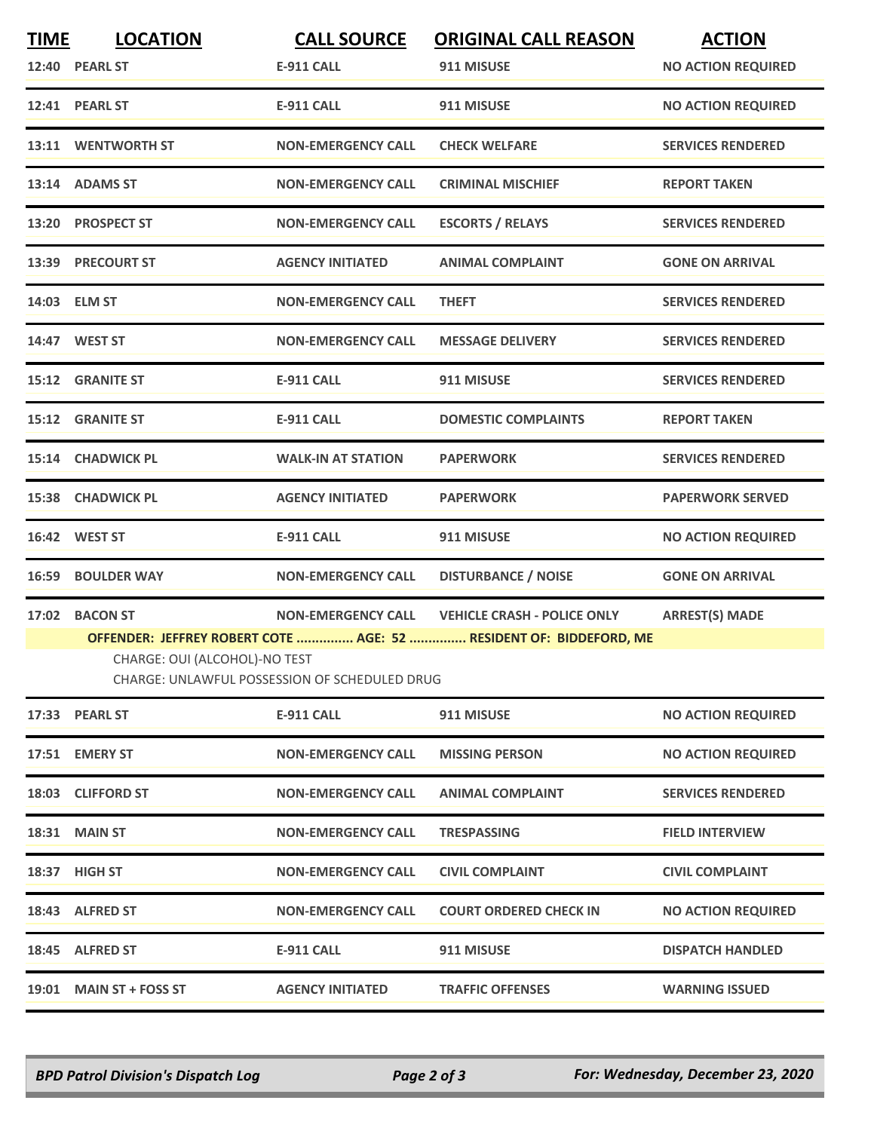| <b>TIME</b> | <b>LOCATION</b><br>12:40 PEARL ST                                                                                                                                                                                                                                         | <b>CALL SOURCE</b><br><b>E-911 CALL</b> | <b>ORIGINAL CALL REASON</b><br>911 MISUSE | <b>ACTION</b><br><b>NO ACTION REQUIRED</b> |  |  |
|-------------|---------------------------------------------------------------------------------------------------------------------------------------------------------------------------------------------------------------------------------------------------------------------------|-----------------------------------------|-------------------------------------------|--------------------------------------------|--|--|
|             | 12:41 PEARL ST                                                                                                                                                                                                                                                            | <b>E-911 CALL</b>                       | 911 MISUSE                                | <b>NO ACTION REQUIRED</b>                  |  |  |
|             | 13:11 WENTWORTH ST                                                                                                                                                                                                                                                        | <b>NON-EMERGENCY CALL</b>               | <b>CHECK WELFARE</b>                      | <b>SERVICES RENDERED</b>                   |  |  |
|             | 13:14 ADAMS ST                                                                                                                                                                                                                                                            | <b>NON-EMERGENCY CALL</b>               | <b>CRIMINAL MISCHIEF</b>                  | <b>REPORT TAKEN</b>                        |  |  |
|             | 13:20 PROSPECT ST                                                                                                                                                                                                                                                         | <b>NON-EMERGENCY CALL</b>               | <b>ESCORTS / RELAYS</b>                   | <b>SERVICES RENDERED</b>                   |  |  |
|             | 13:39 PRECOURT ST                                                                                                                                                                                                                                                         | <b>AGENCY INITIATED</b>                 | <b>ANIMAL COMPLAINT</b>                   | <b>GONE ON ARRIVAL</b>                     |  |  |
|             | 14:03 ELM ST                                                                                                                                                                                                                                                              | <b>NON-EMERGENCY CALL</b>               | <b>THEFT</b>                              | <b>SERVICES RENDERED</b>                   |  |  |
|             | 14:47 WEST ST                                                                                                                                                                                                                                                             | <b>NON-EMERGENCY CALL</b>               | <b>MESSAGE DELIVERY</b>                   | <b>SERVICES RENDERED</b>                   |  |  |
|             | 15:12 GRANITE ST                                                                                                                                                                                                                                                          | <b>E-911 CALL</b>                       | 911 MISUSE                                | <b>SERVICES RENDERED</b>                   |  |  |
|             | 15:12 GRANITE ST                                                                                                                                                                                                                                                          | <b>E-911 CALL</b>                       | <b>DOMESTIC COMPLAINTS</b>                | <b>REPORT TAKEN</b>                        |  |  |
|             | 15:14 CHADWICK PL                                                                                                                                                                                                                                                         | <b>WALK-IN AT STATION</b>               | <b>PAPERWORK</b>                          | <b>SERVICES RENDERED</b>                   |  |  |
|             | 15:38 CHADWICK PL                                                                                                                                                                                                                                                         | <b>AGENCY INITIATED</b>                 | <b>PAPERWORK</b>                          | <b>PAPERWORK SERVED</b>                    |  |  |
|             | 16:42 WEST ST                                                                                                                                                                                                                                                             | <b>E-911 CALL</b>                       | 911 MISUSE                                | <b>NO ACTION REQUIRED</b>                  |  |  |
| 16:59       | <b>BOULDER WAY</b>                                                                                                                                                                                                                                                        | <b>NON-EMERGENCY CALL</b>               | <b>DISTURBANCE / NOISE</b>                | <b>GONE ON ARRIVAL</b>                     |  |  |
|             | 17:02 BACON ST<br><b>NON-EMERGENCY CALL</b><br><b>VEHICLE CRASH - POLICE ONLY</b><br><b>ARREST(S) MADE</b><br>OFFENDER: JEFFREY ROBERT COTE  AGE: 52  RESIDENT OF: BIDDEFORD, ME<br>CHARGE: OUI (ALCOHOL)-NO TEST<br><b>CHARGE: UNLAWFUL POSSESSION OF SCHEDULED DRUG</b> |                                         |                                           |                                            |  |  |
|             | 17:33 PEARL ST                                                                                                                                                                                                                                                            | <b>E-911 CALL</b>                       | 911 MISUSE                                | <b>NO ACTION REQUIRED</b>                  |  |  |
|             | 17:51 EMERY ST                                                                                                                                                                                                                                                            | <b>NON-EMERGENCY CALL</b>               | <b>MISSING PERSON</b>                     | <b>NO ACTION REQUIRED</b>                  |  |  |
|             | 18:03 CLIFFORD ST                                                                                                                                                                                                                                                         | <b>NON-EMERGENCY CALL</b>               | <b>ANIMAL COMPLAINT</b>                   | <b>SERVICES RENDERED</b>                   |  |  |
|             | 18:31 MAIN ST                                                                                                                                                                                                                                                             | <b>NON-EMERGENCY CALL</b>               | <b>TRESPASSING</b>                        | <b>FIELD INTERVIEW</b>                     |  |  |
|             | 18:37 HIGH ST                                                                                                                                                                                                                                                             | <b>NON-EMERGENCY CALL</b>               | <b>CIVIL COMPLAINT</b>                    | <b>CIVIL COMPLAINT</b>                     |  |  |
|             | 18:43 ALFRED ST                                                                                                                                                                                                                                                           | <b>NON-EMERGENCY CALL</b>               | <b>COURT ORDERED CHECK IN</b>             | <b>NO ACTION REQUIRED</b>                  |  |  |
|             | 18:45 ALFRED ST                                                                                                                                                                                                                                                           | <b>E-911 CALL</b>                       | 911 MISUSE                                | <b>DISPATCH HANDLED</b>                    |  |  |
|             | 19:01 MAIN ST + FOSS ST                                                                                                                                                                                                                                                   | <b>AGENCY INITIATED</b>                 | <b>TRAFFIC OFFENSES</b>                   | <b>WARNING ISSUED</b>                      |  |  |